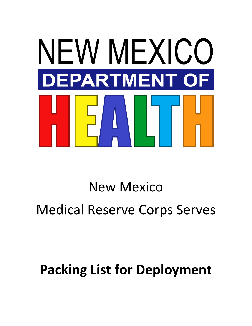

# New Mexico Medical Reserve Corps Serves

# **Packing List for Deployment**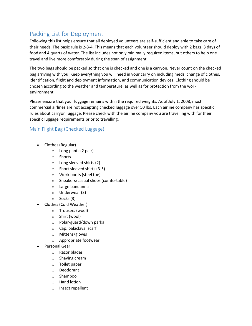## Packing List for Deployment

Following this list helps ensure that all deployed volunteers are self-sufficient and able to take care of their needs. The basic rule is 2-3-4. This means that each volunteer should deploy with 2 bags, 3 days of food and 4 quarts of water. The list includes not only minimally required items, but others to help one travel and live more comfortably during the span of assignment.

The two bags should be packed so that one is checked and one is a carryon. Never count on the checked bag arriving with you. Keep everything you will need in your carry on including meds, change of clothes, identification, flight and deployment information, and communication devices. Clothing should be chosen according to the weather and temperature, as well as for protection from the work environment.

Please ensure that your luggage remains within the required weights. As of July 1, 2008, most commercial airlines are not accepting checked luggage over 50 lbs. Each airline company has specific rules about carryon luggage. Please check with the airline company you are travelling with for their specific luggage requirements prior to travelling.

### Main Flight Bag (Checked Luggage)

- Clothes (Regular)
	- o Long pants (2 pair)
	- o Shorts
	- o Long sleeved shirts (2)
	- o Short sleeved shirts (3-5)
	- o Work boots (steel toe)
	- o Sneakers/casual shoes (comfortable)
	- o Large bandanna
	- o Underwear (3)
	- o Socks (3)
- Clothes (Cold Weather)
	- o Trousers (wool)
	- o Shirt (wool)
	- o Polar-guard/down parka
	- o Cap, balaclava, scarf
	- o Mittens/gloves
	- o Appropriate footwear
- Personal Gear
	- o Razor blades
	- o Shaving cream
	- o Toilet paper
	- o Deodorant
	- o Shampoo
	- o Hand lotion
	- o Insect repellent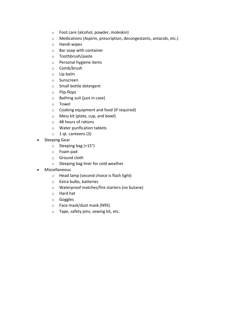- o Foot care (alcohol, powder, moleskin)
- o Medications (Aspirin, prescription, decongestants, antacids, etc.)
- o Handi-wipes
- o Bar soap with container
- o Toothbrush/paste
- o Personal hygiene items
- o Comb/brush
- o Lip balm
- o Sunscreen
- o Small bottle detergent
- o Flip-flops
- o Bathing suit (just in case)
- o Towel
- o Cooking equipment and food (If required)
- o Mess kit (plate, cup, and bowl)
- o 48 hours of rations
- o Water purification tablets
- o 1 qt. canteens (3)
- Sleeping Gear
	- o Sleeping bag (+15°)
	- o Foam pad
	- o Ground cloth
	- o Sleeping bag liner for cold weather
- Miscellaneous
	- o Head lamp (second choice is flash light)
	- o Extra bulbs, batteries
	- o Waterproof matches/fire starters (no butane)
	- o Hard hat
	- o Goggles
	- o Face mask/dust mask (N95)
	- o Tape, safety pins, sewing kit, etc.